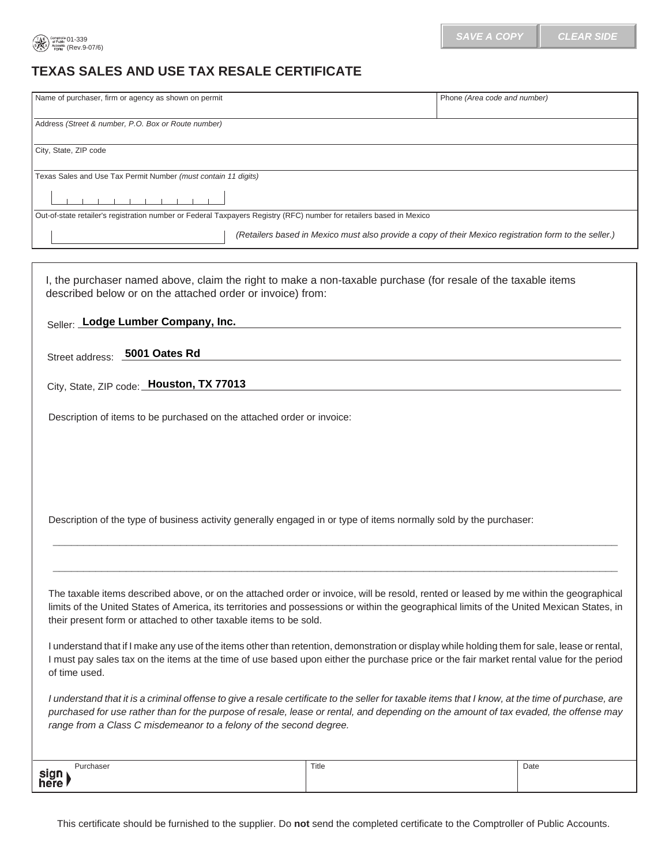

## **TEXAS SALES AND USE TAX RESALE CERTIFICATE**

| Comptroller 01-339<br>  of Public 01-339<br>  FORM (Rev.9-07/6)                                                                                                             | <b>SAVE A COPY</b>           | <b>CLEAR SIDE</b> |  |  |
|-----------------------------------------------------------------------------------------------------------------------------------------------------------------------------|------------------------------|-------------------|--|--|
| <b>TEXAS SALES AND USE TAX RESALE CERTIFICATE</b>                                                                                                                           |                              |                   |  |  |
| Name of purchaser, firm or agency as shown on permit                                                                                                                        | Phone (Area code and number) |                   |  |  |
| Address (Street & number, P.O. Box or Route number)                                                                                                                         |                              |                   |  |  |
| City, State, ZIP code                                                                                                                                                       |                              |                   |  |  |
| Texas Sales and Use Tax Permit Number (must contain 11 digits)                                                                                                              |                              |                   |  |  |
|                                                                                                                                                                             |                              |                   |  |  |
| Out-of-state retailer's registration number or Federal Taxpayers Registry (RFC) number for retailers based in Mexico                                                        |                              |                   |  |  |
| (Retailers based in Mexico must also provide a copy of their Mexico registration form to the seller.)                                                                       |                              |                   |  |  |
|                                                                                                                                                                             |                              |                   |  |  |
| I, the purchaser named above, claim the right to make a non-taxable purchase (for resale of the taxable items<br>described below or on the attached order or invoice) from: |                              |                   |  |  |
| Seller: Lodge Lumber Company, Inc.                                                                                                                                          |                              |                   |  |  |
| 5001 Oates Rd<br>Street address:                                                                                                                                            |                              |                   |  |  |
| City, State, ZIP code: Houston, TX 77013                                                                                                                                    |                              |                   |  |  |

City, State, ZIP code: Houston, TX 77013

Description of items to be purchased on the attached order or invoice:

Description of the type of business activity generally engaged in or type of items normally sold by the purchaser:

The taxable items described above, or on the attached order or invoice, will be resold, rented or leased by me within the geographical limits of the United States of America, its territories and possessions or within the geographical limits of the United Mexican States, in their present form or attached to other taxable items to be sold. The taxable items described above, or on the attached order or invoice, will be resold, rented or leased by me within the geographica<br>mits of the United States of America, its territories and possessions or within the geog

**\_\_\_\_\_\_\_\_\_\_\_\_\_\_\_\_\_\_\_\_\_\_\_\_\_\_\_\_\_\_\_\_\_\_\_\_\_\_\_\_\_\_\_\_\_\_\_\_\_\_\_\_\_\_\_\_\_\_\_\_\_\_\_\_\_\_\_\_\_\_\_\_\_\_\_\_\_\_\_\_\_\_\_\_\_\_\_\_\_\_\_\_\_**

I understand that if I make any use of the items other than retention, demonstration or display while holding them for sale, lease or rental, I must pay sales tax on the items at the time of use based upon either the purchase price or the fair market rental value for the period of time used.

*I understand that it is a criminal offense to give a resale certificate to the seller for taxable items that I know, at the time of purchase, are purchased for use rather than for the purpose of resale, lease or rental, and depending on the amount of tax evaded, the offense may range from a Class C misdemeanor to a felony of the second degree.* 

|               | Title | Date |
|---------------|-------|------|
| sign)<br>here |       |      |